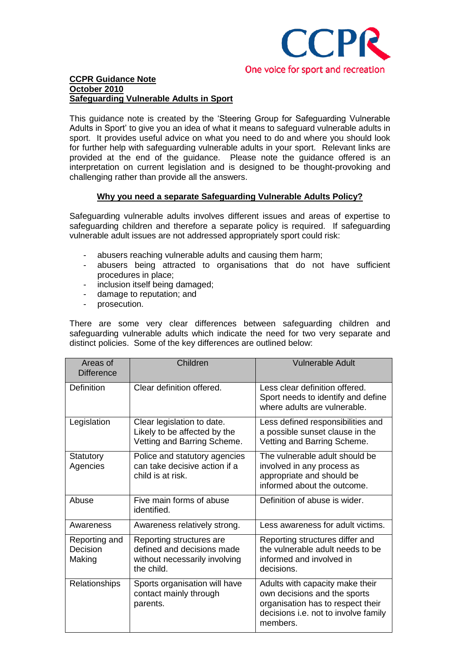

This guidance note is created by the "Steering Group for Safeguarding Vulnerable Adults in Sport" to give you an idea of what it means to safeguard vulnerable adults in sport. It provides useful advice on what you need to do and where you should look for further help with safeguarding vulnerable adults in your sport. Relevant links are provided at the end of the guidance. Please note the guidance offered is an interpretation on current legislation and is designed to be thought-provoking and challenging rather than provide all the answers.

# **Why you need a separate Safeguarding Vulnerable Adults Policy?**

Safeguarding vulnerable adults involves different issues and areas of expertise to safeguarding children and therefore a separate policy is required. If safeguarding vulnerable adult issues are not addressed appropriately sport could risk:

- abusers reaching vulnerable adults and causing them harm;
- abusers being attracted to organisations that do not have sufficient procedures in place;
- inclusion itself being damaged;
- damage to reputation; and
- prosecution.

There are some very clear differences between safeguarding children and safeguarding vulnerable adults which indicate the need for two very separate and distinct policies. Some of the key differences are outlined below:

| Areas of<br><b>Difference</b>       | Children                                                                                              | <b>Vulnerable Adult</b>                                                                                                                                  |
|-------------------------------------|-------------------------------------------------------------------------------------------------------|----------------------------------------------------------------------------------------------------------------------------------------------------------|
| <b>Definition</b>                   | Clear definition offered.                                                                             | Less clear definition offered.<br>Sport needs to identify and define<br>where adults are vulnerable.                                                     |
| Legislation                         | Clear legislation to date.<br>Likely to be affected by the<br>Vetting and Barring Scheme.             | Less defined responsibilities and<br>a possible sunset clause in the<br>Vetting and Barring Scheme.                                                      |
| Statutory<br>Agencies               | Police and statutory agencies<br>can take decisive action if a<br>child is at risk.                   | The vulnerable adult should be<br>involved in any process as<br>appropriate and should be<br>informed about the outcome.                                 |
| Abuse                               | Five main forms of abuse<br>identified.                                                               | Definition of abuse is wider.                                                                                                                            |
| Awareness                           | Awareness relatively strong.                                                                          | Less awareness for adult victims.                                                                                                                        |
| Reporting and<br>Decision<br>Making | Reporting structures are<br>defined and decisions made<br>without necessarily involving<br>the child. | Reporting structures differ and<br>the vulnerable adult needs to be<br>informed and involved in<br>decisions.                                            |
| <b>Relationships</b>                | Sports organisation will have<br>contact mainly through<br>parents.                                   | Adults with capacity make their<br>own decisions and the sports<br>organisation has to respect their<br>decisions i.e. not to involve family<br>members. |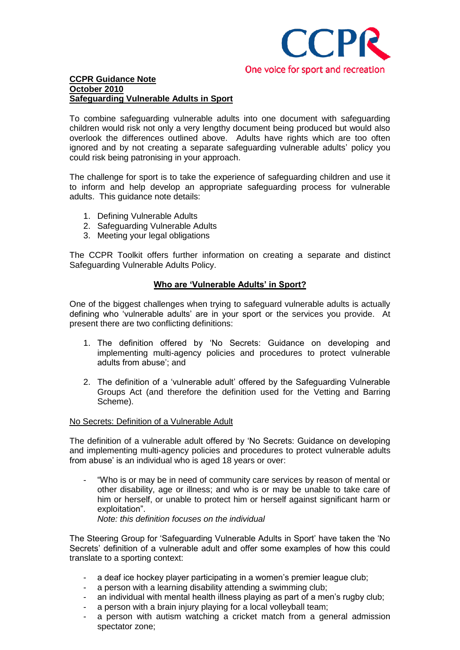

To combine safeguarding vulnerable adults into one document with safeguarding children would risk not only a very lengthy document being produced but would also overlook the differences outlined above. Adults have rights which are too often ignored and by not creating a separate safeguarding vulnerable adults' policy you could risk being patronising in your approach.

The challenge for sport is to take the experience of safeguarding children and use it to inform and help develop an appropriate safeguarding process for vulnerable adults. This guidance note details:

- 1. Defining Vulnerable Adults
- 2. Safeguarding Vulnerable Adults
- 3. Meeting your legal obligations

The CCPR Toolkit offers further information on creating a separate and distinct Safeguarding Vulnerable Adults Policy.

## **Who are 'Vulnerable Adults' in Sport?**

One of the biggest challenges when trying to safeguard vulnerable adults is actually defining who "vulnerable adults" are in your sport or the services you provide. At present there are two conflicting definitions:

- 1. The definition offered by "No Secrets: Guidance on developing and implementing multi-agency policies and procedures to protect vulnerable adults from abuse"; and
- 2. The definition of a "vulnerable adult" offered by the Safeguarding Vulnerable Groups Act (and therefore the definition used for the Vetting and Barring Scheme).

#### No Secrets: Definition of a Vulnerable Adult

The definition of a vulnerable adult offered by "No Secrets: Guidance on developing and implementing multi-agency policies and procedures to protect vulnerable adults from abuse' is an individual who is aged 18 years or over:

"Who is or may be in need of community care services by reason of mental or other disability, age or illness; and who is or may be unable to take care of him or herself, or unable to protect him or herself against significant harm or exploitation".

*Note: this definition focuses on the individual*

The Steering Group for "Safeguarding Vulnerable Adults in Sport" have taken the "No Secrets" definition of a vulnerable adult and offer some examples of how this could translate to a sporting context:

- a deaf ice hockey player participating in a women's premier league club;
- a person with a learning disability attending a swimming club;
- an individual with mental health illness playing as part of a men's rugby club;
- a person with a brain injury playing for a local volleyball team;
- a person with autism watching a cricket match from a general admission spectator zone;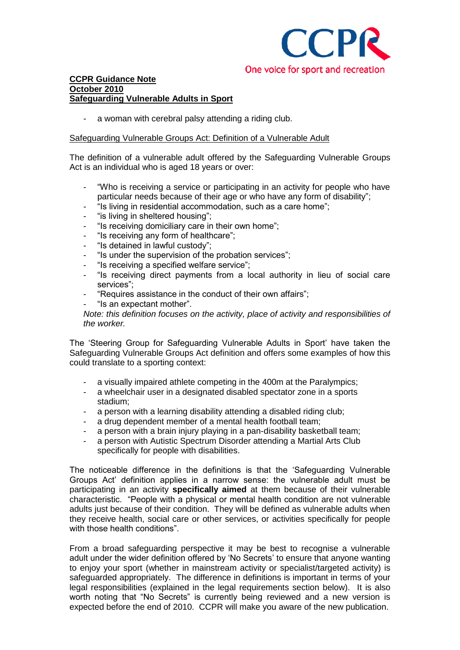

a woman with cerebral palsy attending a riding club.

## Safeguarding Vulnerable Groups Act: Definition of a Vulnerable Adult

The definition of a vulnerable adult offered by the Safeguarding Vulnerable Groups Act is an individual who is aged 18 years or over:

- "Who is receiving a service or participating in an activity for people who have particular needs because of their age or who have any form of disability";
- "Is living in residential accommodation, such as a care home";
- "is living in sheltered housing";
- "Is receiving domiciliary care in their own home";
- "Is receiving any form of healthcare";
- "Is detained in lawful custody";
- "Is under the supervision of the probation services";
- "Is receiving a specified welfare service";
- "Is receiving direct payments from a local authority in lieu of social care services";
- "Requires assistance in the conduct of their own affairs";
- "Is an expectant mother".

*Note: this definition focuses on the activity, place of activity and responsibilities of the worker.*

The "Steering Group for Safeguarding Vulnerable Adults in Sport" have taken the Safeguarding Vulnerable Groups Act definition and offers some examples of how this could translate to a sporting context:

- a visually impaired athlete competing in the 400m at the Paralympics;
- a wheelchair user in a designated disabled spectator zone in a sports stadium;
- a person with a learning disability attending a disabled riding club:
- a drug dependent member of a mental health football team;
- a person with a brain injury playing in a pan-disability basketball team;
- a person with Autistic Spectrum Disorder attending a Martial Arts Club specifically for people with disabilities.

The noticeable difference in the definitions is that the "Safeguarding Vulnerable Groups Act" definition applies in a narrow sense: the vulnerable adult must be participating in an activity **specifically aimed** at them because of their vulnerable characteristic. "People with a physical or mental health condition are not vulnerable adults just because of their condition. They will be defined as vulnerable adults when they receive health, social care or other services, or activities specifically for people with those health conditions".

From a broad safeguarding perspective it may be best to recognise a vulnerable adult under the wider definition offered by 'No Secrets' to ensure that anyone wanting to enjoy your sport (whether in mainstream activity or specialist/targeted activity) is safeguarded appropriately. The difference in definitions is important in terms of your legal responsibilities (explained in the legal requirements section below). It is also worth noting that "No Secrets" is currently being reviewed and a new version is expected before the end of 2010. CCPR will make you aware of the new publication.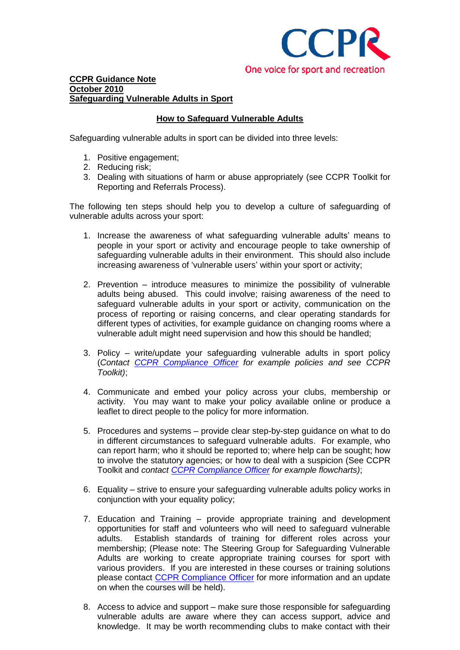

# **How to Safeguard Vulnerable Adults**

Safeguarding vulnerable adults in sport can be divided into three levels:

- 1. Positive engagement;
- 2. Reducing risk;
- 3. Dealing with situations of harm or abuse appropriately (see CCPR Toolkit for Reporting and Referrals Process).

The following ten steps should help you to develop a culture of safeguarding of vulnerable adults across your sport:

- 1. Increase the awareness of what safeguarding vulnerable adults" means to people in your sport or activity and encourage people to take ownership of safeguarding vulnerable adults in their environment. This should also include increasing awareness of 'vulnerable users' within your sport or activity;
- 2. Prevention introduce measures to minimize the possibility of vulnerable adults being abused. This could involve; raising awareness of the need to safeguard vulnerable adults in your sport or activity, communication on the process of reporting or raising concerns, and clear operating standards for different types of activities, for example guidance on changing rooms where a vulnerable adult might need supervision and how this should be handled;
- 3. Policy write/update your safeguarding vulnerable adults in sport policy (*Contact [CCPR Compliance Officer](mailto:jtottman@ccpr.org.uk?subject=Safeguarding%20VA%20Policy) for example policies and see CCPR Toolkit)*;
- 4. Communicate and embed your policy across your clubs, membership or activity. You may want to make your policy available online or produce a leaflet to direct people to the policy for more information.
- 5. Procedures and systems provide clear step-by-step guidance on what to do in different circumstances to safeguard vulnerable adults. For example, who can report harm; who it should be reported to; where help can be sought; how to involve the statutory agencies; or how to deal with a suspicion (See CCPR Toolkit and *contact [CCPR Compliance Officer](mailto:jtottman@ccpr.org.uk?subject=Safeguarding%20VA%20Flowcharts) for example flowcharts)*;
- 6. Equality strive to ensure your safeguarding vulnerable adults policy works in conjunction with your equality policy;
- 7. Education and Training provide appropriate training and development opportunities for staff and volunteers who will need to safeguard vulnerable adults. Establish standards of training for different roles across your membership; (Please note: The Steering Group for Safeguarding Vulnerable Adults are working to create appropriate training courses for sport with various providers. If you are interested in these courses or training solutions please contact [CCPR Compliance Officer](mailto:jtottman@ccpr.org.uk?subject=Training%20Courses%20for%20Safeguarding%20Vulnerable%20Adults%20in%20Sport) for more information and an update on when the courses will be held).
- 8. Access to advice and support make sure those responsible for safeguarding vulnerable adults are aware where they can access support, advice and knowledge. It may be worth recommending clubs to make contact with their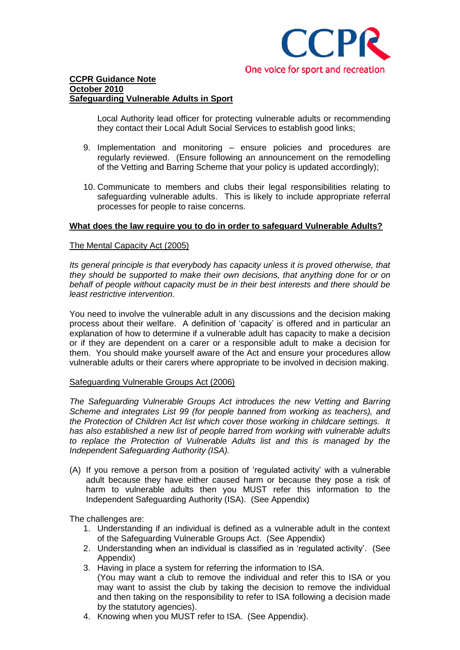

Local Authority lead officer for protecting vulnerable adults or recommending they contact their Local Adult Social Services to establish good links;

- 9. Implementation and monitoring ensure policies and procedures are regularly reviewed. (Ensure following an announcement on the remodelling of the Vetting and Barring Scheme that your policy is updated accordingly);
- 10. Communicate to members and clubs their legal responsibilities relating to safeguarding vulnerable adults. This is likely to include appropriate referral processes for people to raise concerns.

## **What does the law require you to do in order to safeguard Vulnerable Adults?**

#### The Mental Capacity Act (2005)

*Its general principle is that everybody has capacity unless it is proved otherwise, that they should be supported to make their own decisions, that anything done for or on behalf of people without capacity must be in their best interests and there should be least restrictive intervention.*

You need to involve the vulnerable adult in any discussions and the decision making process about their welfare. A definition of "capacity" is offered and in particular an explanation of how to determine if a vulnerable adult has capacity to make a decision or if they are dependent on a carer or a responsible adult to make a decision for them. You should make yourself aware of the Act and ensure your procedures allow vulnerable adults or their carers where appropriate to be involved in decision making.

## Safeguarding Vulnerable Groups Act (2006)

*The Safeguarding Vulnerable Groups Act introduces the new Vetting and Barring Scheme and integrates List 99 (for people banned from working as teachers), and the Protection of Children Act list which cover those working in childcare settings. It has also established a new list of people barred from working with vulnerable adults to replace the Protection of Vulnerable Adults list and this is managed by the Independent Safeguarding Authority (ISA).*

(A) If you remove a person from a position of "regulated activity" with a vulnerable adult because they have either caused harm or because they pose a risk of harm to vulnerable adults then you MUST refer this information to the Independent Safeguarding Authority (ISA). (See Appendix)

The challenges are:

- 1. Understanding if an individual is defined as a vulnerable adult in the context of the Safeguarding Vulnerable Groups Act. (See Appendix)
- 2. Understanding when an individual is classified as in 'regulated activity'. (See Appendix)
- 3. Having in place a system for referring the information to ISA.
	- (You may want a club to remove the individual and refer this to ISA or you may want to assist the club by taking the decision to remove the individual and then taking on the responsibility to refer to ISA following a decision made by the statutory agencies).
- 4. Knowing when you MUST refer to ISA. (See Appendix).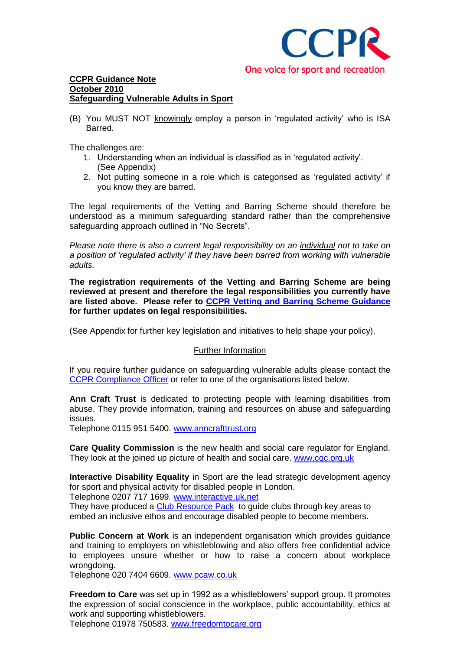

(B) You MUST NOT knowingly employ a person in "regulated activity" who is ISA Barred.

The challenges are:

- 1. Understanding when an individual is classified as in "regulated activity". (See Appendix)
- 2. Not putting someone in a role which is categorised as "regulated activity" if you know they are barred.

The legal requirements of the Vetting and Barring Scheme should therefore be understood as a minimum safeguarding standard rather than the comprehensive safeguarding approach outlined in "No Secrets".

*Please note there is also a current legal responsibility on an individual not to take on a position of 'regulated activity' if they have been barred from working with vulnerable adults.*

**The registration requirements of the Vetting and Barring Scheme are being reviewed at present and therefore the legal responsibilities you currently have are listed above. Please refer to [CCPR Vetting and Barring Scheme Guidance](http://www.ccpr.org.uk/news/newspages/Terms+of+reference+for+review+of+vetting+and+barring+unveiled) for further updates on legal responsibilities.**

(See Appendix for further key legislation and initiatives to help shape your policy).

#### Further Information

If you require further guidance on safeguarding vulnerable adults please contact the [CCPR Compliance Officer](mailto:jtottman@ccpr.org.uk?subject=Safeguarding%20Vulnerable%20Adults) or refer to one of the organisations listed below.

**Ann Craft Trust** is dedicated to protecting people with learning disabilities from abuse. They provide information, training and resources on abuse and safeguarding issues.

Telephone 0115 951 5400. [www.anncrafttrust.org](http://www.anncrafttrust.org/)

**Care Quality Commission** is the new health and social care regulator for England. They look at the joined up picture of health and social care. [www.cqc.org.uk](http://www.cqc.org.uk/)

**Interactive Disability Equality** in Sport are the lead strategic development agency for sport and physical activity for disabled people in London.

Telephone 0207 717 1699. [www.interactive.uk.net](http://www.interactive.uk.net/)

They have produced a [Club Resource Pack](http://www.interactive.uk.net/page.asp?section=0001000100050001§ionTitle=Club+Resource+Pack) to guide clubs through key areas to embed an inclusive ethos and encourage disabled people to become members.

**Public Concern at Work** is an independent organisation which provides guidance and training to employers on whistleblowing and also offers free confidential advice to employees unsure whether or how to raise a concern about workplace wrongdoing.

Telephone 020 7404 6609. [www.pcaw.co.uk](http://www.pcaw.co.uk/)

**Freedom to Care** was set up in 1992 as a whistleblowers' support group. It promotes the expression of social conscience in the workplace, public accountability, ethics at work and supporting whistleblowers.

Telephone 01978 750583. [www.freedomtocare.org](http://www.freedomtocare.org/)